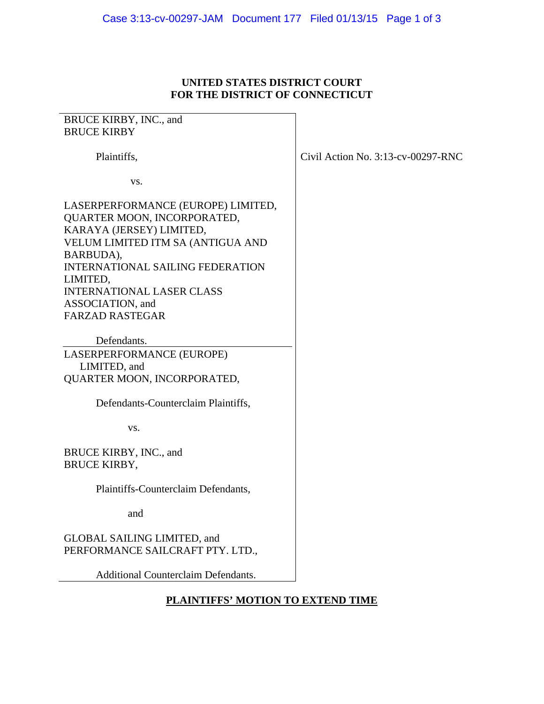## **UNITED STATES DISTRICT COURT FOR THE DISTRICT OF CONNECTICUT**

| BRUCE KIRBY, INC., and                     |                                    |
|--------------------------------------------|------------------------------------|
| <b>BRUCE KIRBY</b>                         |                                    |
|                                            |                                    |
| Plaintiffs,                                | Civil Action No. 3:13-cv-00297-RNC |
|                                            |                                    |
| VS.                                        |                                    |
|                                            |                                    |
| LASERPERFORMANCE (EUROPE) LIMITED,         |                                    |
| QUARTER MOON, INCORPORATED,                |                                    |
| KARAYA (JERSEY) LIMITED,                   |                                    |
| VELUM LIMITED ITM SA (ANTIGUA AND          |                                    |
| BARBUDA),                                  |                                    |
| <b>INTERNATIONAL SAILING FEDERATION</b>    |                                    |
| LIMITED,                                   |                                    |
| <b>INTERNATIONAL LASER CLASS</b>           |                                    |
| ASSOCIATION, and                           |                                    |
| <b>FARZAD RASTEGAR</b>                     |                                    |
|                                            |                                    |
| Defendants.                                |                                    |
| LASERPERFORMANCE (EUROPE)                  |                                    |
| LIMITED, and                               |                                    |
| QUARTER MOON, INCORPORATED,                |                                    |
|                                            |                                    |
| Defendants-Counterclaim Plaintiffs,        |                                    |
|                                            |                                    |
| VS.                                        |                                    |
|                                            |                                    |
| BRUCE KIRBY, INC., and                     |                                    |
| <b>BRUCE KIRBY,</b>                        |                                    |
|                                            |                                    |
| Plaintiffs-Counterclaim Defendants,        |                                    |
|                                            |                                    |
| and                                        |                                    |
|                                            |                                    |
| <b>GLOBAL SAILING LIMITED, and</b>         |                                    |
| PERFORMANCE SAILCRAFT PTY. LTD.,           |                                    |
|                                            |                                    |
| <b>Additional Counterclaim Defendants.</b> |                                    |
|                                            |                                    |

# **PLAINTIFFS' MOTION TO EXTEND TIME**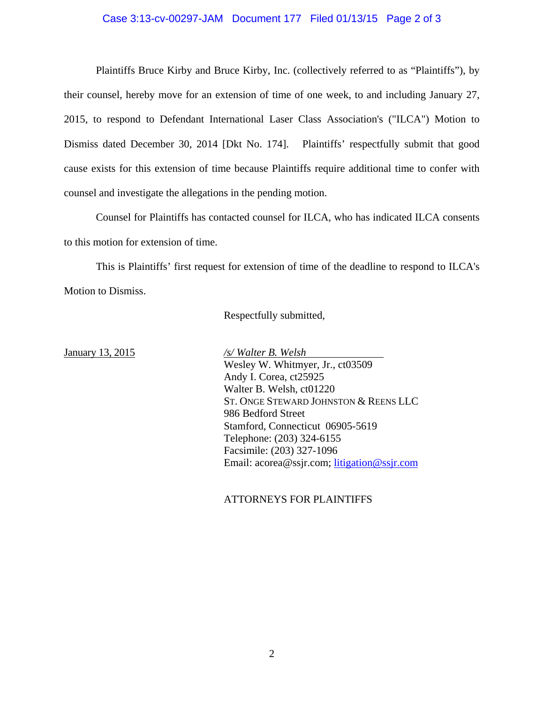#### Case 3:13-cv-00297-JAM Document 177 Filed 01/13/15 Page 2 of 3

 Plaintiffs Bruce Kirby and Bruce Kirby, Inc. (collectively referred to as "Plaintiffs"), by their counsel, hereby move for an extension of time of one week, to and including January 27, 2015, to respond to Defendant International Laser Class Association's ("ILCA") Motion to Dismiss dated December 30, 2014 [Dkt No. 174]. Plaintiffs' respectfully submit that good cause exists for this extension of time because Plaintiffs require additional time to confer with counsel and investigate the allegations in the pending motion.

Counsel for Plaintiffs has contacted counsel for ILCA, who has indicated ILCA consents to this motion for extension of time.

This is Plaintiffs' first request for extension of time of the deadline to respond to ILCA's Motion to Dismiss.

Respectfully submitted,

January 13, 2015 */s/ Walter B. Welsh* Wesley W. Whitmyer, Jr., ct03509 Andy I. Corea, ct25925 Walter B. Welsh, ct01220 ST. ONGE STEWARD JOHNSTON & REENS LLC 986 Bedford Street Stamford, Connecticut 06905-5619 Telephone: (203) 324-6155 Facsimile: (203) 327-1096 Email: acorea@ssjr.com; litigation@ssjr.com

#### ATTORNEYS FOR PLAINTIFFS